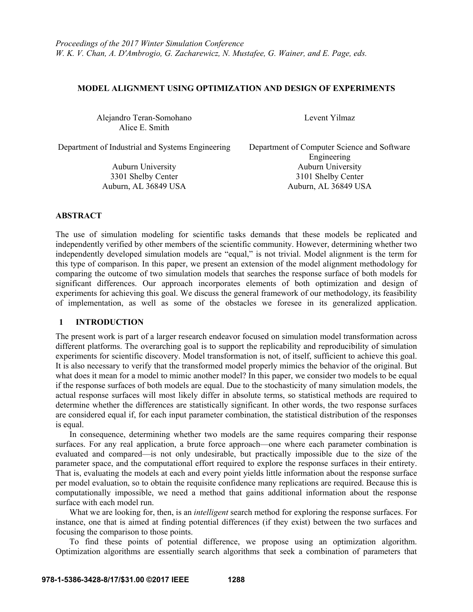# **MODEL ALIGNMENT USING OPTIMIZATION AND DESIGN OF EXPERIMENTS**

Alejandro Teran-Somohano Levent Yilmaz Alice E. Smith

Department of Industrial and Systems Engineering Department of Computer Science and Software

Engineering Auburn University Auburn University 3301 Shelby Center 3101 Shelby Center Auburn, AL 36849 USA Auburn, AL 36849 USA

## **ABSTRACT**

The use of simulation modeling for scientific tasks demands that these models be replicated and independently verified by other members of the scientific community. However, determining whether two independently developed simulation models are "equal," is not trivial. Model alignment is the term for this type of comparison. In this paper, we present an extension of the model alignment methodology for comparing the outcome of two simulation models that searches the response surface of both models for significant differences. Our approach incorporates elements of both optimization and design of experiments for achieving this goal. We discuss the general framework of our methodology, its feasibility of implementation, as well as some of the obstacles we foresee in its generalized application.

## **1 INTRODUCTION**

The present work is part of a larger research endeavor focused on simulation model transformation across different platforms. The overarching goal is to support the replicability and reproducibility of simulation experiments for scientific discovery. Model transformation is not, of itself, sufficient to achieve this goal. It is also necessary to verify that the transformed model properly mimics the behavior of the original. But what does it mean for a model to mimic another model? In this paper, we consider two models to be equal if the response surfaces of both models are equal. Due to the stochasticity of many simulation models, the actual response surfaces will most likely differ in absolute terms, so statistical methods are required to determine whether the differences are statistically significant. In other words, the two response surfaces are considered equal if, for each input parameter combination, the statistical distribution of the responses is equal.

In consequence, determining whether two models are the same requires comparing their response surfaces. For any real application, a brute force approach—one where each parameter combination is evaluated and compared—is not only undesirable, but practically impossible due to the size of the parameter space, and the computational effort required to explore the response surfaces in their entirety. That is, evaluating the models at each and every point yields little information about the response surface per model evaluation, so to obtain the requisite confidence many replications are required. Because this is computationally impossible, we need a method that gains additional information about the response surface with each model run.

What we are looking for, then, is an *intelligent* search method for exploring the response surfaces. For instance, one that is aimed at finding potential differences (if they exist) between the two surfaces and focusing the comparison to those points.

To find these points of potential difference, we propose using an optimization algorithm. Optimization algorithms are essentially search algorithms that seek a combination of parameters that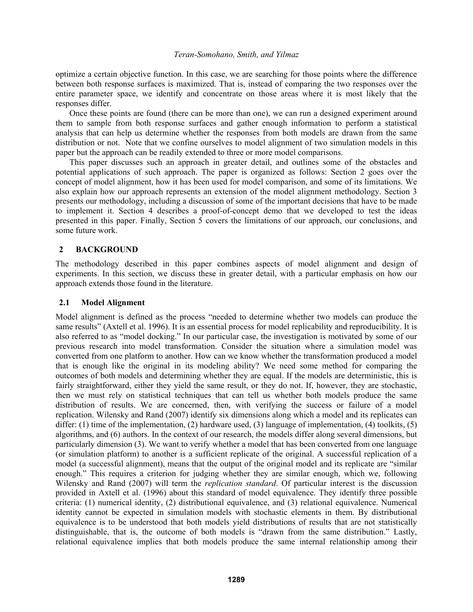optimize a certain objective function. In this case, we are searching for those points where the difference between both response surfaces is maximized. That is, instead of comparing the two responses over the entire parameter space, we identify and concentrate on those areas where it is most likely that the responses differ.

Once these points are found (there can be more than one), we can run a designed experiment around them to sample from both response surfaces and gather enough information to perform a statistical analysis that can help us determine whether the responses from both models are drawn from the same distribution or not. Note that we confine ourselves to model alignment of two simulation models in this paper but the approach can be readily extended to three or more model comparisons.

This paper discusses such an approach in greater detail, and outlines some of the obstacles and potential applications of such approach. The paper is organized as follows: Section 2 goes over the concept of model alignment, how it has been used for model comparison, and some of its limitations. We also explain how our approach represents an extension of the model alignment methodology. Section 3 presents our methodology, including a discussion of some of the important decisions that have to be made to implement it. Section 4 describes a proof-of-concept demo that we developed to test the ideas presented in this paper. Finally, Section 5 covers the limitations of our approach, our conclusions, and some future work.

# **2 BACKGROUND**

The methodology described in this paper combines aspects of model alignment and design of experiments. In this section, we discuss these in greater detail, with a particular emphasis on how our approach extends those found in the literature.

### **2.1 Model Alignment**

Model alignment is defined as the process "needed to determine whether two models can produce the same results" (Axtell et al. 1996). It is an essential process for model replicability and reproducibility. It is also referred to as "model docking." In our particular case, the investigation is motivated by some of our previous research into model transformation. Consider the situation where a simulation model was converted from one platform to another. How can we know whether the transformation produced a model that is enough like the original in its modeling ability? We need some method for comparing the outcomes of both models and determining whether they are equal. If the models are deterministic, this is fairly straightforward, either they yield the same result, or they do not. If, however, they are stochastic, then we must rely on statistical techniques that can tell us whether both models produce the same distribution of results. We are concerned, then, with verifying the success or failure of a model replication. Wilensky and Rand (2007) identify six dimensions along which a model and its replicates can differ: (1) time of the implementation, (2) hardware used, (3) language of implementation, (4) toolkits, (5) algorithms, and (6) authors. In the context of our research, the models differ along several dimensions, but particularly dimension (3). We want to verify whether a model that has been converted from one language (or simulation platform) to another is a sufficient replicate of the original. A successful replication of a model (a successful alignment), means that the output of the original model and its replicate are "similar enough." This requires a criterion for judging whether they are similar enough, which we, following Wilensky and Rand (2007) will term the *replication standard*. Of particular interest is the discussion provided in Axtell et al. (1996) about this standard of model equivalence. They identify three possible criteria: (1) numerical identity, (2) distributional equivalence, and (3) relational equivalence. Numerical identity cannot be expected in simulation models with stochastic elements in them. By distributional equivalence is to be understood that both models yield distributions of results that are not statistically distinguishable, that is, the outcome of both models is "drawn from the same distribution." Lastly, relational equivalence implies that both models produce the same internal relationship among their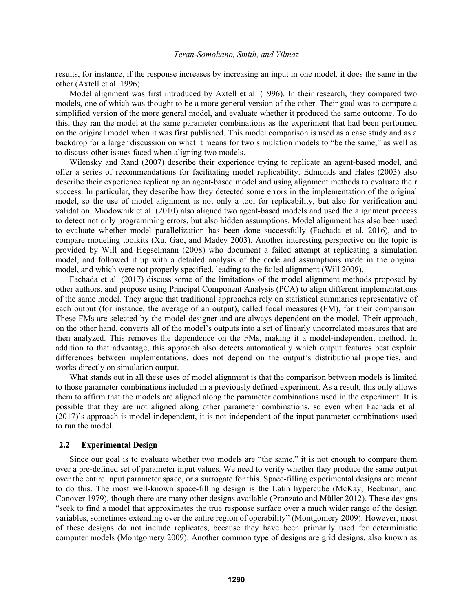results, for instance, if the response increases by increasing an input in one model, it does the same in the other (Axtell et al. 1996).

Model alignment was first introduced by Axtell et al. (1996). In their research, they compared two models, one of which was thought to be a more general version of the other. Their goal was to compare a simplified version of the more general model, and evaluate whether it produced the same outcome. To do this, they ran the model at the same parameter combinations as the experiment that had been performed on the original model when it was first published. This model comparison is used as a case study and as a backdrop for a larger discussion on what it means for two simulation models to "be the same," as well as to discuss other issues faced when aligning two models.

Wilensky and Rand (2007) describe their experience trying to replicate an agent-based model, and offer a series of recommendations for facilitating model replicability. Edmonds and Hales (2003) also describe their experience replicating an agent-based model and using alignment methods to evaluate their success. In particular, they describe how they detected some errors in the implementation of the original model, so the use of model alignment is not only a tool for replicability, but also for verification and validation. Miodownik et al. (2010) also aligned two agent-based models and used the alignment process to detect not only programming errors, but also hidden assumptions. Model alignment has also been used to evaluate whether model parallelization has been done successfully (Fachada et al. 2016), and to compare modeling toolkits (Xu, Gao, and Madey 2003). Another interesting perspective on the topic is provided by Will and Hegselmann (2008) who document a failed attempt at replicating a simulation model, and followed it up with a detailed analysis of the code and assumptions made in the original model, and which were not properly specified, leading to the failed alignment (Will 2009).

Fachada et al. (2017) discuss some of the limitations of the model alignment methods proposed by other authors, and propose using Principal Component Analysis (PCA) to align different implementations of the same model. They argue that traditional approaches rely on statistical summaries representative of each output (for instance, the average of an output), called focal measures (FM), for their comparison. These FMs are selected by the model designer and are always dependent on the model. Their approach, on the other hand, converts all of the model's outputs into a set of linearly uncorrelated measures that are then analyzed. This removes the dependence on the FMs, making it a model-independent method. In addition to that advantage, this approach also detects automatically which output features best explain differences between implementations, does not depend on the output's distributional properties, and works directly on simulation output.

What stands out in all these uses of model alignment is that the comparison between models is limited to those parameter combinations included in a previously defined experiment. As a result, this only allows them to affirm that the models are aligned along the parameter combinations used in the experiment. It is possible that they are not aligned along other parameter combinations, so even when Fachada et al. (2017)'s approach is model-independent, it is not independent of the input parameter combinations used to run the model.

### **2.2 Experimental Design**

Since our goal is to evaluate whether two models are "the same," it is not enough to compare them over a pre-defined set of parameter input values. We need to verify whether they produce the same output over the entire input parameter space, or a surrogate for this. Space-filling experimental designs are meant to do this. The most well-known space-filling design is the Latin hypercube (McKay, Beckman, and Conover 1979), though there are many other designs available (Pronzato and Müller 2012). These designs "seek to find a model that approximates the true response surface over a much wider range of the design variables, sometimes extending over the entire region of operability" (Montgomery 2009). However, most of these designs do not include replicates, because they have been primarily used for deterministic computer models (Montgomery 2009). Another common type of designs are grid designs, also known as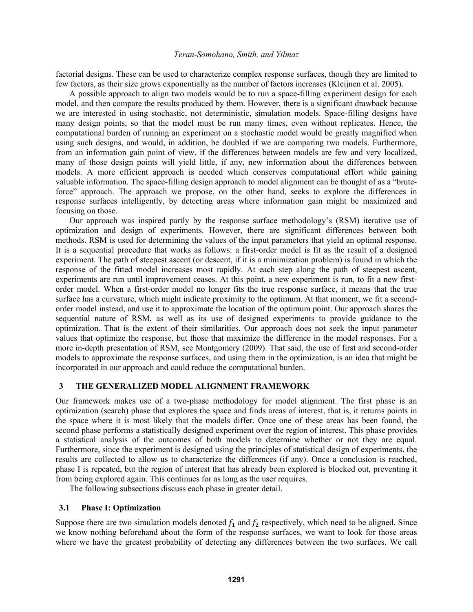factorial designs. These can be used to characterize complex response surfaces, though they are limited to few factors, as their size grows exponentially as the number of factors increases (Kleijnen et al. 2005).

A possible approach to align two models would be to run a space-filling experiment design for each model, and then compare the results produced by them. However, there is a significant drawback because we are interested in using stochastic, not deterministic, simulation models. Space-filling designs have many design points, so that the model must be run many times, even without replicates. Hence, the computational burden of running an experiment on a stochastic model would be greatly magnified when using such designs, and would, in addition, be doubled if we are comparing two models. Furthermore, from an information gain point of view, if the differences between models are few and very localized, many of those design points will yield little, if any, new information about the differences between models. A more efficient approach is needed which conserves computational effort while gaining valuable information. The space-filling design approach to model alignment can be thought of as a "bruteforce" approach. The approach we propose, on the other hand, seeks to explore the differences in response surfaces intelligently, by detecting areas where information gain might be maximized and focusing on those.

Our approach was inspired partly by the response surface methodology's (RSM) iterative use of optimization and design of experiments. However, there are significant differences between both methods. RSM is used for determining the values of the input parameters that yield an optimal response. It is a sequential procedure that works as follows: a first-order model is fit as the result of a designed experiment. The path of steepest ascent (or descent, if it is a minimization problem) is found in which the response of the fitted model increases most rapidly. At each step along the path of steepest ascent, experiments are run until improvement ceases. At this point, a new experiment is run, to fit a new firstorder model. When a first-order model no longer fits the true response surface, it means that the true surface has a curvature, which might indicate proximity to the optimum. At that moment, we fit a secondorder model instead, and use it to approximate the location of the optimum point. Our approach shares the sequential nature of RSM, as well as its use of designed experiments to provide guidance to the optimization. That is the extent of their similarities. Our approach does not seek the input parameter values that optimize the response, but those that maximize the difference in the model responses. For a more in-depth presentation of RSM, see Montgomery (2009). That said, the use of first and second-order models to approximate the response surfaces, and using them in the optimization, is an idea that might be incorporated in our approach and could reduce the computational burden.

# **3 THE GENERALIZED MODEL ALIGNMENT FRAMEWORK**

Our framework makes use of a two-phase methodology for model alignment. The first phase is an optimization (search) phase that explores the space and finds areas of interest, that is, it returns points in the space where it is most likely that the models differ. Once one of these areas has been found, the second phase performs a statistically designed experiment over the region of interest. This phase provides a statistical analysis of the outcomes of both models to determine whether or not they are equal. Furthermore, since the experiment is designed using the principles of statistical design of experiments, the results are collected to allow us to characterize the differences (if any). Once a conclusion is reached, phase I is repeated, but the region of interest that has already been explored is blocked out, preventing it from being explored again. This continues for as long as the user requires.

The following subsections discuss each phase in greater detail.

#### **3.1 Phase I: Optimization**

Suppose there are two simulation models denoted  $f_1$  and  $f_2$  respectively, which need to be aligned. Since we know nothing beforehand about the form of the response surfaces, we want to look for those areas where we have the greatest probability of detecting any differences between the two surfaces. We call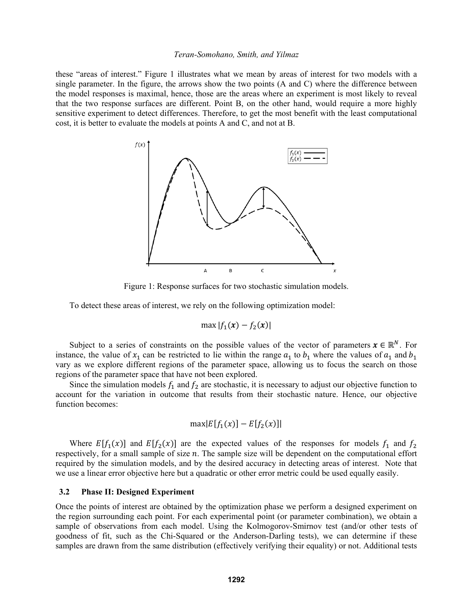these "areas of interest." Figure 1 illustrates what we mean by areas of interest for two models with a single parameter. In the figure, the arrows show the two points (A and C) where the difference between the model responses is maximal, hence, those are the areas where an experiment is most likely to reveal that the two response surfaces are different. Point B, on the other hand, would require a more highly sensitive experiment to detect differences. Therefore, to get the most benefit with the least computational cost, it is better to evaluate the models at points A and C, and not at B.



Figure 1: Response surfaces for two stochastic simulation models.

To detect these areas of interest, we rely on the following optimization model:

$$
\max |f_1(x) - f_2(x)|
$$

Subject to a series of constraints on the possible values of the vector of parameters  $x \in \mathbb{R}^N$ . For instance, the value of  $x_1$  can be restricted to lie within the range  $a_1$  to  $b_1$  where the values of  $a_1$  and  $b_1$ vary as we explore different regions of the parameter space, allowing us to focus the search on those regions of the parameter space that have not been explored.

Since the simulation models  $f_1$  and  $f_2$  are stochastic, it is necessary to adjust our objective function to account for the variation in outcome that results from their stochastic nature. Hence, our objective function becomes:

$$
\max |E[f_1(x)] - E[f_2(x)]|
$$

Where  $E[f_1(x)]$  and  $E[f_2(x)]$  are the expected values of the responses for models  $f_1$  and  $f_2$ respectively, for a small sample of size  $n$ . The sample size will be dependent on the computational effort required by the simulation models, and by the desired accuracy in detecting areas of interest. Note that we use a linear error objective here but a quadratic or other error metric could be used equally easily.

### **3.2 Phase II: Designed Experiment**

Once the points of interest are obtained by the optimization phase we perform a designed experiment on the region surrounding each point. For each experimental point (or parameter combination), we obtain a sample of observations from each model. Using the Kolmogorov-Smirnov test (and/or other tests of goodness of fit, such as the Chi-Squared or the Anderson-Darling tests), we can determine if these samples are drawn from the same distribution (effectively verifying their equality) or not. Additional tests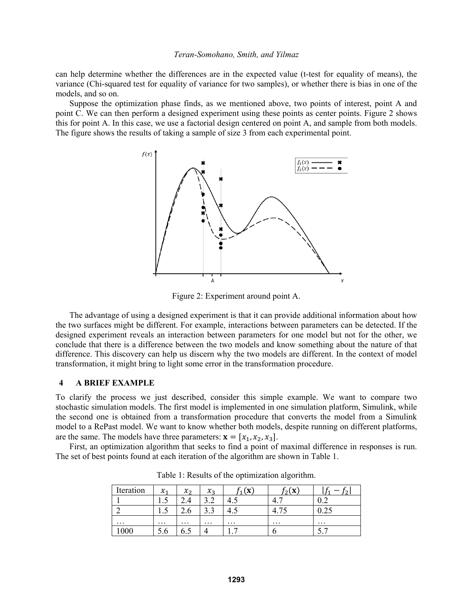can help determine whether the differences are in the expected value (t-test for equality of means), the variance (Chi-squared test for equality of variance for two samples), or whether there is bias in one of the models, and so on.

Suppose the optimization phase finds, as we mentioned above, two points of interest, point A and point C. We can then perform a designed experiment using these points as center points. Figure 2 shows this for point A. In this case, we use a factorial design centered on point A, and sample from both models. The figure shows the results of taking a sample of size 3 from each experimental point.



Figure 2: Experiment around point A.

The advantage of using a designed experiment is that it can provide additional information about how the two surfaces might be different. For example, interactions between parameters can be detected. If the designed experiment reveals an interaction between parameters for one model but not for the other, we conclude that there is a difference between the two models and know something about the nature of that difference. This discovery can help us discern why the two models are different. In the context of model transformation, it might bring to light some error in the transformation procedure.

# **4 A BRIEF EXAMPLE**

To clarify the process we just described, consider this simple example. We want to compare two stochastic simulation models. The first model is implemented in one simulation platform, Simulink, while the second one is obtained from a transformation procedure that converts the model from a Simulink model to a RePast model. We want to know whether both models, despite running on different platforms, are the same. The models have three parameters:  $\mathbf{x} = [x_1, x_2, x_3]$ .

First, an optimization algorithm that seeks to find a point of maximal difference in responses is run. The set of best points found at each iteration of the algorithm are shown in Table 1.

| Iteration | $\chi_1$    | $\mathcal{X}_{2}$ | $\chi_{2}$        | 'X       | $\overline{ }$ | ີ        |
|-----------|-------------|-------------------|-------------------|----------|----------------|----------|
|           | $1 \cdot 7$ |                   | ے. ر              | ر.+      | 4.             | $v.\sim$ |
|           | $1 \cdot 7$ | ∠.∪               | $\sqrt{2}$<br>ر.ر | т.       | $\cdots$       | ບ.∠J     |
| $\cdots$  | $\cdots$    | $\cdots$          | $\cdots$          | $\cdots$ | $\cdots$       | $\cdots$ |
| 1000      | 5.6         | 0.J               |                   | .        |                | .        |

Table 1: Results of the optimization algorithm.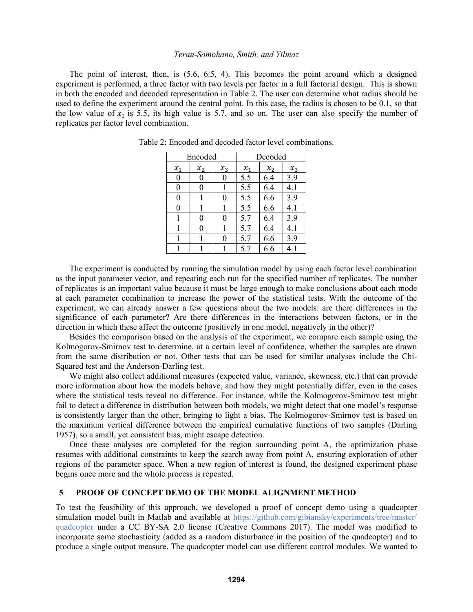The point of interest, then, is (5.6, 6.5, 4). This becomes the point around which a designed experiment is performed, a three factor with two levels per factor in a full factorial design. This is shown in both the encoded and decoded representation in Table 2. The user can determine what radius should be used to define the experiment around the central point. In this case, the radius is chosen to be 0.1, so that the low value of  $x_1$  is 5.5, its high value is 5.7, and so on. The user can also specify the number of replicates per factor level combination.

| Encoded          |       |       | Decoded |       |       |
|------------------|-------|-------|---------|-------|-------|
| $x_1$            | $x_2$ | $x_3$ | $x_1$   | $x_2$ | $x_3$ |
| $\boldsymbol{0}$ | 0     | 0     | 5.5     | 6.4   | 3.9   |
| 0                | 0     |       | 5.5     | 6.4   | 4.1   |
| 0                |       | 0     | 5.5     | 6.6   | 3.9   |
| 0                |       |       | 5.5     | 6.6   | 4.1   |
|                  | 0     | 0     | 5.7     | 6.4   | 3.9   |
|                  | 0     |       | 5.7     | 6.4   | 4.1   |
|                  |       | 0     | 5.7     | 6.6   | 3.9   |
|                  |       |       | 5.7     | 6.6   | 4.1   |

Table 2: Encoded and decoded factor level combinations.

The experiment is conducted by running the simulation model by using each factor level combination as the input parameter vector, and repeating each run for the specified number of replicates. The number of replicates is an important value because it must be large enough to make conclusions about each mode at each parameter combination to increase the power of the statistical tests. With the outcome of the experiment, we can already answer a few questions about the two models: are there differences in the significance of each parameter? Are there differences in the interactions between factors, or in the direction in which these affect the outcome (positively in one model, negatively in the other)?

Besides the comparison based on the analysis of the experiment, we compare each sample using the Kolmogorov-Smirnov test to determine, at a certain level of confidence, whether the samples are drawn from the same distribution or not. Other tests that can be used for similar analyses include the Chi-Squared test and the Anderson-Darling test.

We might also collect additional measures (expected value, variance, skewness, etc.) that can provide more information about how the models behave, and how they might potentially differ, even in the cases where the statistical tests reveal no difference. For instance, while the Kolmogorov-Smirnov test might fail to detect a difference in distribution between both models, we might detect that one model's response is consistently larger than the other, bringing to light a bias. The Kolmogorov-Smirnov test is based on the maximum vertical difference between the empirical cumulative functions of two samples (Darling 1957), so a small, yet consistent bias, might escape detection.

Once these analyses are completed for the region surrounding point A, the optimization phase resumes with additional constraints to keep the search away from point A, ensuring exploration of other regions of the parameter space. When a new region of interest is found, the designed experiment phase begins once more and the whole process is repeated.

# **5 PROOF OF CONCEPT DEMO OF THE MODEL ALIGNMENT METHOD**

To test the feasibility of this approach, we developed a proof of concept demo using a quadcopter simulation model built in Matlab and available at https://github.com/gibiansky/experiments/tree/master/ quadcopter under a CC BY-SA 2.0 license (Creative Commons 2017). The model was modified to incorporate some stochasticity (added as a random disturbance in the position of the quadcopter) and to produce a single output measure. The quadcopter model can use different control modules. We wanted to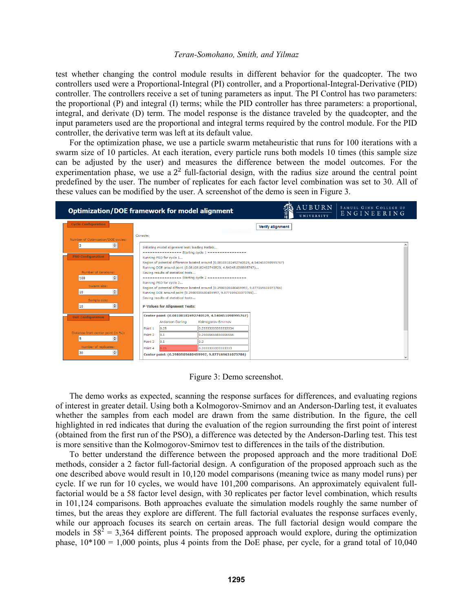test whether changing the control module results in different behavior for the quadcopter. The two controllers used were a Proportional-Integral (PI) controller, and a Proportional-Integral-Derivative (PID) controller. The controllers receive a set of tuning parameters as input. The PI Control has two parameters: the proportional (P) and integral (I) terms; while the PID controller has three parameters: a proportional, integral, and derivate (D) term. The model response is the distance traveled by the quadcopter, and the input parameters used are the proportional and integral terms required by the control module. For the PID controller, the derivative term was left at its default value.

For the optimization phase, we use a particle swarm metaheuristic that runs for 100 iterations with a swarm size of 10 particles. At each iteration, every particle runs both models 10 times (this sample size can be adjusted by the user) and measures the difference between the model outcomes. For the experimentation phase, we use a  $2<sup>2</sup>$  full-factorial design, with the radius size around the central point predefined by the user. The number of replicates for each factor level combination was set to 30. All of these values can be modified by the user. A screenshot of the demo is seen in Figure 3.

|                                                                                                                                              | <b>Optimization/DOE framework for model alignment</b>                                                                                                                                                                                                                                                                                                                                                                                                                                                                                                                                                                                                                       |                                          | AUBURN<br>UNIVERSITY | SAMUEL GINN COLLEGE OF<br>ENGINEERING |  |  |
|----------------------------------------------------------------------------------------------------------------------------------------------|-----------------------------------------------------------------------------------------------------------------------------------------------------------------------------------------------------------------------------------------------------------------------------------------------------------------------------------------------------------------------------------------------------------------------------------------------------------------------------------------------------------------------------------------------------------------------------------------------------------------------------------------------------------------------------|------------------------------------------|----------------------|---------------------------------------|--|--|
| <b>Cycle Configuration</b><br>Number of Optimization/DOE cycles:                                                                             | Console:                                                                                                                                                                                                                                                                                                                                                                                                                                                                                                                                                                                                                                                                    | <b>Verify alignment</b><br>Window Snip   |                      |                                       |  |  |
| ÷<br>I.<br><b>PSO Configuration</b><br>Number of iterations:<br>$\div$<br>100<br>Swarm size:<br>$\div$<br>10<br>Sample size:<br>$\div$<br>10 | Initiating model alignment test: loading Matlab<br><b>EXECUTERATIONS Starting cycle 1 EXECUTERATIONS INC.</b><br>Running PSO for cycle 1<br>Region of potential difference located around (0.08108182492740529, 4.540451098995767)<br>Running DOE around point (0.08108182492740529, 4.540451098995767)<br>Saving results of statistical tests<br>--------------- Starting cycle 2 -----------------<br>Running PSO for cycle 2<br>Region of potential difference located around (0.2980505680459997, 9.877169631073786)<br>Running DOE around point (0.2980505680459997, 9.877169631073786)<br>Saving results of statistical tests<br><b>P-Values for Alignment Tests:</b> |                                          |                      |                                       |  |  |
| <b>DoE Configuration</b>                                                                                                                     | Center point: (0.08108182492740529, 4.540451098995767)<br>Anderson-Darling<br>0.25<br>Point 1                                                                                                                                                                                                                                                                                                                                                                                                                                                                                                                                                                               | Kolmogorov-Smirnov<br>0.2333333333333334 |                      |                                       |  |  |
| Distance from center point (in %):<br>$\div$<br>5<br>Number of replicates:<br>÷<br>30                                                        | Point 2<br>0.1<br>Point 3<br>0.1<br>0.3<br>Point 4                                                                                                                                                                                                                                                                                                                                                                                                                                                                                                                                                                                                                          | 0.2666666666666666<br>0.333333333333333  |                      |                                       |  |  |
| Center point: (0.2980505680459997, 9.877169631073786)                                                                                        |                                                                                                                                                                                                                                                                                                                                                                                                                                                                                                                                                                                                                                                                             |                                          |                      |                                       |  |  |

Figure 3: Demo screenshot.

The demo works as expected, scanning the response surfaces for differences, and evaluating regions of interest in greater detail. Using both a Kolmogorov-Smirnov and an Anderson-Darling test, it evaluates whether the samples from each model are drawn from the same distribution. In the figure, the cell highlighted in red indicates that during the evaluation of the region surrounding the first point of interest (obtained from the first run of the PSO), a difference was detected by the Anderson-Darling test. This test is more sensitive than the Kolmogorov-Smirnov test to differences in the tails of the distribution.

To better understand the difference between the proposed approach and the more traditional DoE methods, consider a 2 factor full-factorial design. A configuration of the proposed approach such as the one described above would result in 10,120 model comparisons (meaning twice as many model runs) per cycle. If we run for 10 cycles, we would have 101,200 comparisons. An approximately equivalent fullfactorial would be a 58 factor level design, with 30 replicates per factor level combination, which results in 101,124 comparisons. Both approaches evaluate the simulation models roughly the same number of times, but the areas they explore are different. The full factorial evaluates the response surfaces evenly, while our approach focuses its search on certain areas. The full factorial design would compare the models in  $58^2 = 3,364$  different points. The proposed approach would explore, during the optimization phase,  $10*100 = 1,000$  points, plus 4 points from the DoE phase, per cycle, for a grand total of 10,040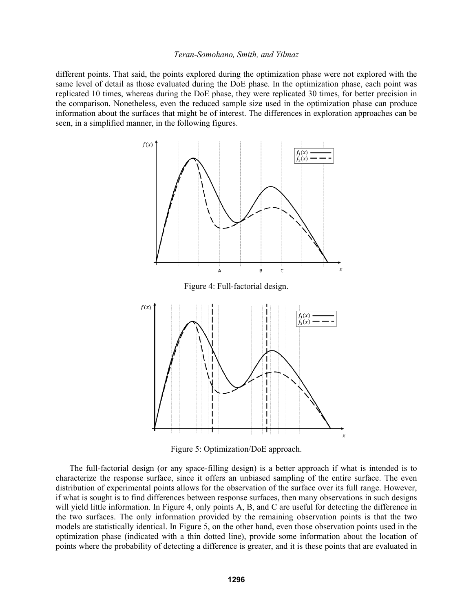different points. That said, the points explored during the optimization phase were not explored with the same level of detail as those evaluated during the DoE phase. In the optimization phase, each point was replicated 10 times, whereas during the DoE phase, they were replicated 30 times, for better precision in the comparison. Nonetheless, even the reduced sample size used in the optimization phase can produce information about the surfaces that might be of interest. The differences in exploration approaches can be seen, in a simplified manner, in the following figures.



Figure 5: Optimization/DoE approach.

The full-factorial design (or any space-filling design) is a better approach if what is intended is to characterize the response surface, since it offers an unbiased sampling of the entire surface. The even distribution of experimental points allows for the observation of the surface over its full range. However, if what is sought is to find differences between response surfaces, then many observations in such designs will yield little information. In Figure 4, only points A, B, and C are useful for detecting the difference in the two surfaces. The only information provided by the remaining observation points is that the two models are statistically identical. In Figure 5, on the other hand, even those observation points used in the optimization phase (indicated with a thin dotted line), provide some information about the location of points where the probability of detecting a difference is greater, and it is these points that are evaluated in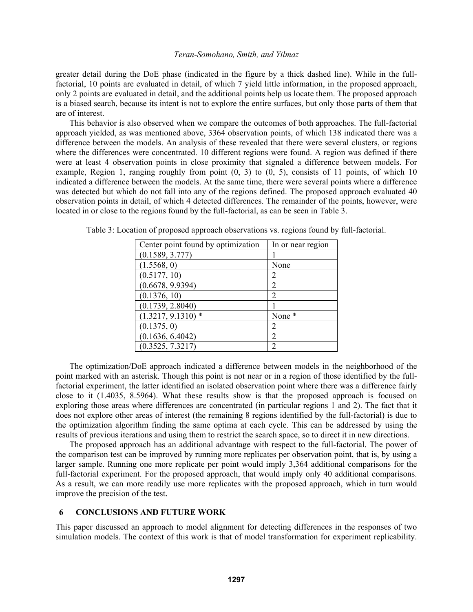greater detail during the DoE phase (indicated in the figure by a thick dashed line). While in the fullfactorial, 10 points are evaluated in detail, of which 7 yield little information, in the proposed approach, only 2 points are evaluated in detail, and the additional points help us locate them. The proposed approach is a biased search, because its intent is not to explore the entire surfaces, but only those parts of them that are of interest.

This behavior is also observed when we compare the outcomes of both approaches. The full-factorial approach yielded, as was mentioned above, 3364 observation points, of which 138 indicated there was a difference between the models. An analysis of these revealed that there were several clusters, or regions where the differences were concentrated. 10 different regions were found. A region was defined if there were at least 4 observation points in close proximity that signaled a difference between models. For example, Region 1, ranging roughly from point  $(0, 3)$  to  $(0, 5)$ , consists of 11 points, of which 10 indicated a difference between the models. At the same time, there were several points where a difference was detected but which do not fall into any of the regions defined. The proposed approach evaluated 40 observation points in detail, of which 4 detected differences. The remainder of the points, however, were located in or close to the regions found by the full-factorial, as can be seen in Table 3.

| Center point found by optimization | In or near region |
|------------------------------------|-------------------|
| (0.1589, 3.777)                    |                   |
| (1.5568, 0)                        | None              |
| (0.5177, 10)                       | 2                 |
| (0.6678, 9.9394)                   | 2                 |
| (0.1376, 10)                       | 2                 |
| (0.1739, 2.8040)                   |                   |
| $(1.3217, 9.1310)$ *               | None *            |
| (0.1375, 0)                        | 2                 |
| (0.1636, 6.4042)                   | 2                 |
| (0.3525, 7.3217)                   | 2                 |
|                                    |                   |

Table 3: Location of proposed approach observations vs. regions found by full-factorial.

The optimization/DoE approach indicated a difference between models in the neighborhood of the point marked with an asterisk. Though this point is not near or in a region of those identified by the fullfactorial experiment, the latter identified an isolated observation point where there was a difference fairly close to it (1.4035, 8.5964). What these results show is that the proposed approach is focused on exploring those areas where differences are concentrated (in particular regions 1 and 2). The fact that it does not explore other areas of interest (the remaining 8 regions identified by the full-factorial) is due to the optimization algorithm finding the same optima at each cycle. This can be addressed by using the results of previous iterations and using them to restrict the search space, so to direct it in new directions.

The proposed approach has an additional advantage with respect to the full-factorial. The power of the comparison test can be improved by running more replicates per observation point, that is, by using a larger sample. Running one more replicate per point would imply 3,364 additional comparisons for the full-factorial experiment. For the proposed approach, that would imply only 40 additional comparisons. As a result, we can more readily use more replicates with the proposed approach, which in turn would improve the precision of the test.

### **6 CONCLUSIONS AND FUTURE WORK**

This paper discussed an approach to model alignment for detecting differences in the responses of two simulation models. The context of this work is that of model transformation for experiment replicability.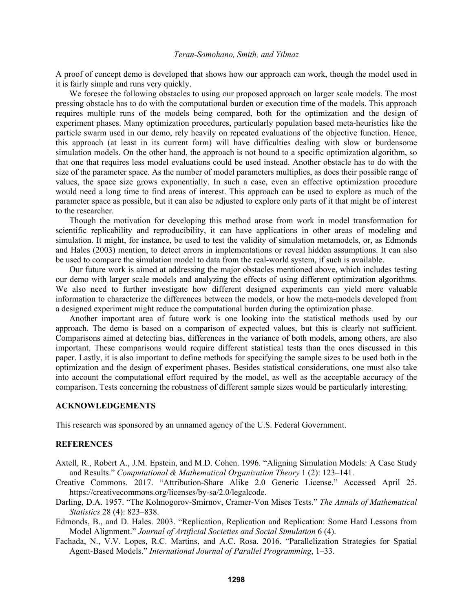A proof of concept demo is developed that shows how our approach can work, though the model used in it is fairly simple and runs very quickly.

We foresee the following obstacles to using our proposed approach on larger scale models. The most pressing obstacle has to do with the computational burden or execution time of the models. This approach requires multiple runs of the models being compared, both for the optimization and the design of experiment phases. Many optimization procedures, particularly population based meta-heuristics like the particle swarm used in our demo, rely heavily on repeated evaluations of the objective function. Hence, this approach (at least in its current form) will have difficulties dealing with slow or burdensome simulation models. On the other hand, the approach is not bound to a specific optimization algorithm, so that one that requires less model evaluations could be used instead. Another obstacle has to do with the size of the parameter space. As the number of model parameters multiplies, as does their possible range of values, the space size grows exponentially. In such a case, even an effective optimization procedure would need a long time to find areas of interest. This approach can be used to explore as much of the parameter space as possible, but it can also be adjusted to explore only parts of it that might be of interest to the researcher.

Though the motivation for developing this method arose from work in model transformation for scientific replicability and reproducibility, it can have applications in other areas of modeling and simulation. It might, for instance, be used to test the validity of simulation metamodels, or, as Edmonds and Hales (2003) mention, to detect errors in implementations or reveal hidden assumptions. It can also be used to compare the simulation model to data from the real-world system, if such is available.

Our future work is aimed at addressing the major obstacles mentioned above, which includes testing our demo with larger scale models and analyzing the effects of using different optimization algorithms. We also need to further investigate how different designed experiments can yield more valuable information to characterize the differences between the models, or how the meta-models developed from a designed experiment might reduce the computational burden during the optimization phase.

Another important area of future work is one looking into the statistical methods used by our approach. The demo is based on a comparison of expected values, but this is clearly not sufficient. Comparisons aimed at detecting bias, differences in the variance of both models, among others, are also important. These comparisons would require different statistical tests than the ones discussed in this paper. Lastly, it is also important to define methods for specifying the sample sizes to be used both in the optimization and the design of experiment phases. Besides statistical considerations, one must also take into account the computational effort required by the model, as well as the acceptable accuracy of the comparison. Tests concerning the robustness of different sample sizes would be particularly interesting.

### **ACKNOWLEDGEMENTS**

This research was sponsored by an unnamed agency of the U.S. Federal Government.

### **REFERENCES**

- Axtell, R., Robert A., J.M. Epstein, and M.D. Cohen. 1996. "Aligning Simulation Models: A Case Study and Results." *Computational & Mathematical Organization Theory* 1 (2): 123–141.
- Creative Commons. 2017. "Attribution-Share Alike 2.0 Generic License." Accessed April 25. https://creativecommons.org/licenses/by-sa/2.0/legalcode.
- Darling, D.A. 1957. "The Kolmogorov-Smirnov, Cramer-Von Mises Tests." *The Annals of Mathematical Statistics* 28 (4): 823–838.
- Edmonds, B., and D. Hales. 2003. "Replication, Replication and Replication: Some Hard Lessons from Model Alignment." *Journal of Artificial Societies and Social Simulation* 6 (4).
- Fachada, N., V.V. Lopes, R.C. Martins, and A.C. Rosa. 2016. "Parallelization Strategies for Spatial Agent-Based Models." *International Journal of Parallel Programming*, 1–33.